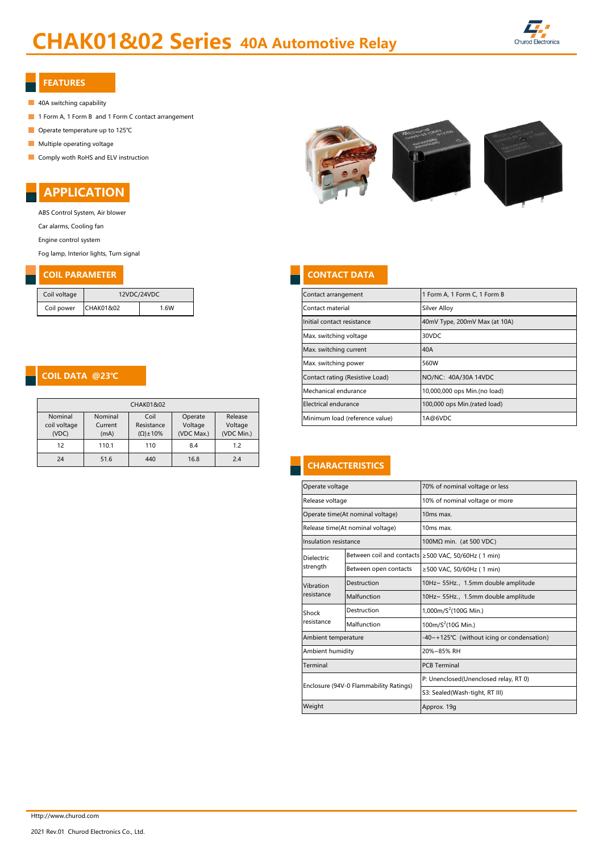# CHAK01&02 Series 40A Automotive Relay



#### FEATURES

- 40A switching capability
- 1 Form A, 1 Form B and 1 Form C contact arrangement
- Operate temperature up to 125℃
- **Multiple operating voltage**
- Comply woth RoHS and ELV instruction



ABS Control System, Air blower Car alarms, Cooling fan

Engine control system

Fog lamp, Interior lights, Turn signal

## **COIL PARAMETER CONTACT DATA**

| Coil voltage | 12VDC/24VDC |     |  |  |  |
|--------------|-------------|-----|--|--|--|
| Coil power   | CHAK01&02   | 16W |  |  |  |

#### COIL DATA @23℃

| CHAK01&02                        |                            |                                           |                                  |                                  |  |  |  |
|----------------------------------|----------------------------|-------------------------------------------|----------------------------------|----------------------------------|--|--|--|
| Nominal<br>coil voltage<br>(VDC) | Nominal<br>Current<br>(mA) | Coil<br>Resistance<br>$(\Omega) \pm 10\%$ | Operate<br>Voltage<br>(VDC Max.) | Release<br>Voltage<br>(VDC Min.) |  |  |  |
| 12                               | 110.1                      | 110                                       | 8.4                              | 1.2                              |  |  |  |
| 24                               | 51.6                       | 440                                       | 16.8                             | 2.4                              |  |  |  |



| Coil voltage                 |                   | 12VDC/24VDC               |                              |                              |  | Contact arrangement             | 1 Form A, 1 Form C, 1 Form B  |
|------------------------------|-------------------|---------------------------|------------------------------|------------------------------|--|---------------------------------|-------------------------------|
| Coil power                   | CHAK01&02         | 1.6W                      |                              |                              |  | Contact material                | Silver Alloy                  |
|                              |                   |                           |                              |                              |  | Initial contact resistance      | 40mV Type, 200mV Max (at 10A) |
|                              |                   |                           |                              |                              |  | Max. switching voltage          | 30VDC                         |
|                              |                   |                           |                              |                              |  | Max. switching current          | 40A                           |
|                              |                   |                           |                              |                              |  | Max. switching power            | 560W                          |
|                              |                   |                           |                              |                              |  | Contact rating (Resistive Load) | NO/NC: 40A/30A 14VDC          |
|                              |                   |                           |                              |                              |  | Mechanical endurance            | 10,000,000 ops Min.(no load)  |
|                              |                   | CHAK01&02                 |                              |                              |  | Electrical endurance            | 100,000 ops Min.(rated load)  |
| Nominal<br>المسمعة المربانجم | Nominal<br>$\int$ | Coil<br><b>Desistence</b> | Operate<br>$\lambda$ /altasa | Release<br>$\lambda$ /altasa |  | Minimum load (reference value)  | 1A@6VDC                       |

## **CHARACTERISTICS**

| Operate voltage                        |                       | 70% of nominal voltage or less                      |  |  |  |  |
|----------------------------------------|-----------------------|-----------------------------------------------------|--|--|--|--|
| Release voltage                        |                       | 10% of nominal voltage or more                      |  |  |  |  |
| Operate time(At nominal voltage)       |                       | 10 <sub>ms</sub> max.                               |  |  |  |  |
| Release time(At nominal voltage)       |                       | 10ms max.                                           |  |  |  |  |
| Insulation resistance                  |                       | 100MΩ min. (at 500 VDC)                             |  |  |  |  |
| Dielectric                             |                       | Between coil and contacts ≥500 VAC, 50/60Hz (1 min) |  |  |  |  |
| strength                               | Between open contacts | ≥500 VAC, 50/60Hz (1 min)                           |  |  |  |  |
| Vibration                              | Destruction           | 10Hz~ 55Hz., 1.5mm double amplitude                 |  |  |  |  |
| resistance                             | Malfunction           | 10Hz~ 55Hz., 1.5mm double amplitude                 |  |  |  |  |
| Shock                                  | Destruction           | 1,000m/ $S^2$ (100G Min.)                           |  |  |  |  |
| resistance                             | Malfunction           | 100m/ $S^2$ (10G Min.)                              |  |  |  |  |
| Ambient temperature                    |                       | -40~+125°C (without icing or condensation)          |  |  |  |  |
| Ambient humidity                       |                       | 20%~85% RH                                          |  |  |  |  |
| Terminal                               |                       | <b>PCB Terminal</b>                                 |  |  |  |  |
| Enclosure (94V-0 Flammability Ratings) |                       | P: Unenclosed(Unenclosed relay, RT 0)               |  |  |  |  |
|                                        |                       | S3: Sealed(Wash-tight, RT III)                      |  |  |  |  |
| Weight                                 |                       | Approx. 19g                                         |  |  |  |  |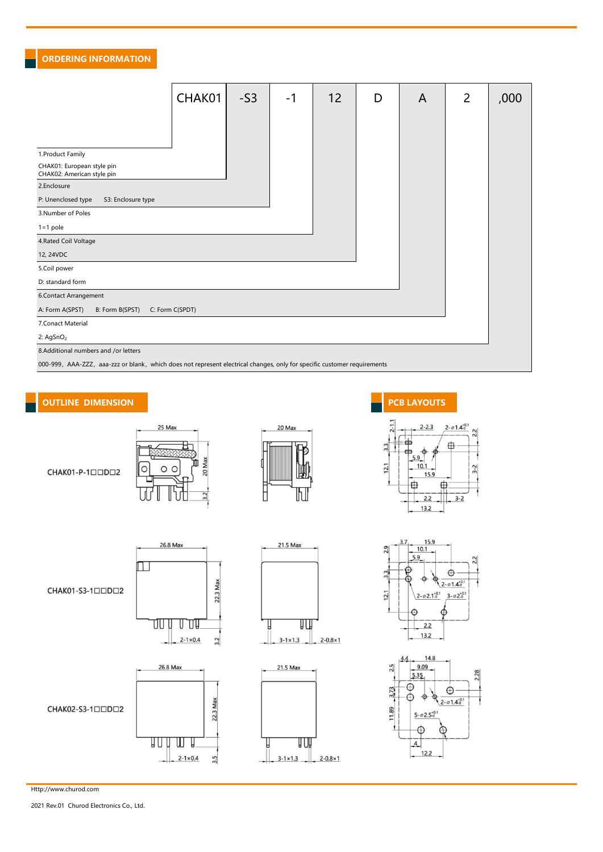#### ORDERING INFORMATION

|                                                                                                                          | CHAK01          | $-S3$ | -1 | 12 | D | A | $\overline{2}$ | ,000 |
|--------------------------------------------------------------------------------------------------------------------------|-----------------|-------|----|----|---|---|----------------|------|
|                                                                                                                          |                 |       |    |    |   |   |                |      |
| 1. Product Family                                                                                                        |                 |       |    |    |   |   |                |      |
| CHAK01: European style pin<br>CHAK02: American style pin                                                                 |                 |       |    |    |   |   |                |      |
| 2.Enclosure                                                                                                              |                 |       |    |    |   |   |                |      |
| S3: Enclosure type<br>P: Unenclosed type                                                                                 |                 |       |    |    |   |   |                |      |
| 3.Number of Poles                                                                                                        |                 |       |    |    |   |   |                |      |
| $1 = 1$ pole                                                                                                             |                 |       |    |    |   |   |                |      |
| 4. Rated Coil Voltage                                                                                                    |                 |       |    |    |   |   |                |      |
| 12, 24VDC                                                                                                                |                 |       |    |    |   |   |                |      |
| 5.Coil power                                                                                                             |                 |       |    |    |   |   |                |      |
| D: standard form                                                                                                         |                 |       |    |    |   |   |                |      |
| 6.Contact Arrangement                                                                                                    |                 |       |    |    |   |   |                |      |
| A: Form A(SPST)<br>B: Form B(SPST)                                                                                       | C: Form C(SPDT) |       |    |    |   |   |                |      |
| 7.Conact Material                                                                                                        |                 |       |    |    |   |   |                |      |
| 2: $AgSnO2$                                                                                                              |                 |       |    |    |   |   |                |      |
| 8.Additional numbers and /or letters                                                                                     |                 |       |    |    |   |   |                |      |
| 000-999, AAA-ZZZ, aaa-zzz or blank, which does not represent electrical changes, only for specific customer requirements |                 |       |    |    |   |   |                |      |

## OUTLINE DIMENSION **PCB** LAYOUTS







21.5 Max



 $2.2$  $13.2$ 





#### CHAK01-S3-1□□D□2



26.8 Max



 $\Box$ 





Http://www.churod.com

2021 Rev.01 Churod Electronics Co., Ltd.